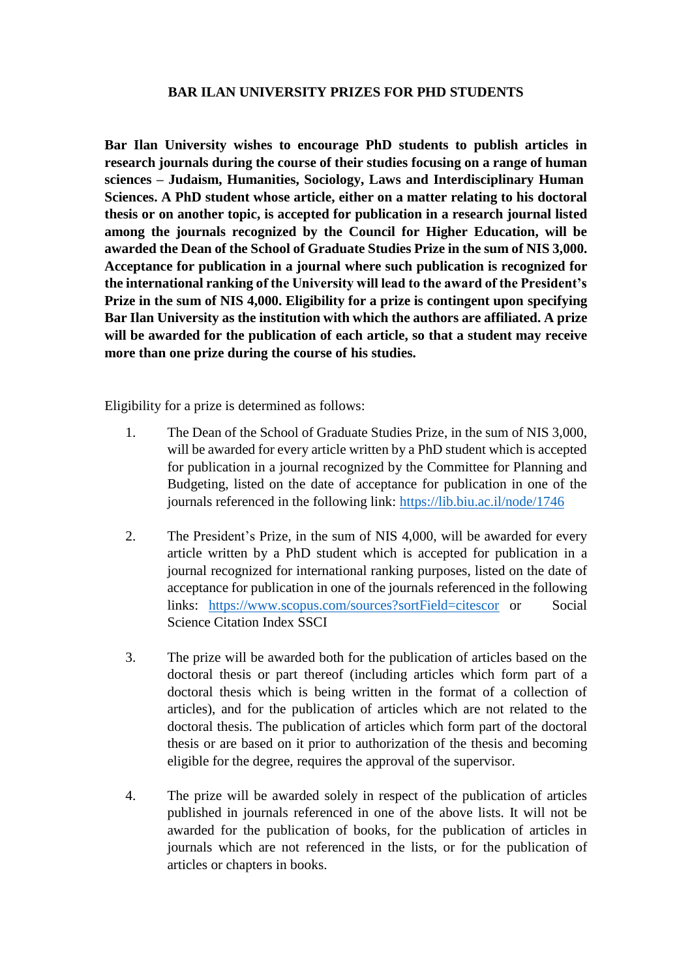## **BAR ILAN UNIVERSITY PRIZES FOR PHD STUDENTS**

**Bar Ilan University wishes to encourage PhD students to publish articles in research journals during the course of their studies focusing on a range of human sciences – Judaism, Humanities, Sociology, Laws and Interdisciplinary Human Sciences. A PhD student whose article, either on a matter relating to his doctoral thesis or on another topic, is accepted for publication in a research journal listed among the journals recognized by the Council for Higher Education, will be awarded the Dean of the School of Graduate Studies Prize in the sum of NIS 3,000. Acceptance for publication in a journal where such publication is recognized for the international ranking of the University will lead to the award of the President's Prize in the sum of NIS 4,000. Eligibility for a prize is contingent upon specifying Bar Ilan University as the institution with which the authors are affiliated. A prize will be awarded for the publication of each article, so that a student may receive more than one prize during the course of his studies.**

Eligibility for a prize is determined as follows:

- 1. The Dean of the School of Graduate Studies Prize, in the sum of NIS 3,000, will be awarded for every article written by a PhD student which is accepted for publication in a journal recognized by the Committee for Planning and Budgeting, listed on the date of acceptance for publication in one of the journals referenced in the following link:<https://lib.biu.ac.il/node/1746>
- 2. The President's Prize, in the sum of NIS 4,000, will be awarded for every article written by a PhD student which is accepted for publication in a journal recognized for international ranking purposes, listed on the date of acceptance for publication in one of the journals referenced in the following links: <https://www.scopus.com/sources?sortField=citescor> or Social Science Citation Index SSCI
- 3. The prize will be awarded both for the publication of articles based on the doctoral thesis or part thereof (including articles which form part of a doctoral thesis which is being written in the format of a collection of articles), and for the publication of articles which are not related to the doctoral thesis. The publication of articles which form part of the doctoral thesis or are based on it prior to authorization of the thesis and becoming eligible for the degree, requires the approval of the supervisor.
- 4. The prize will be awarded solely in respect of the publication of articles published in journals referenced in one of the above lists. It will not be awarded for the publication of books, for the publication of articles in journals which are not referenced in the lists, or for the publication of articles or chapters in books.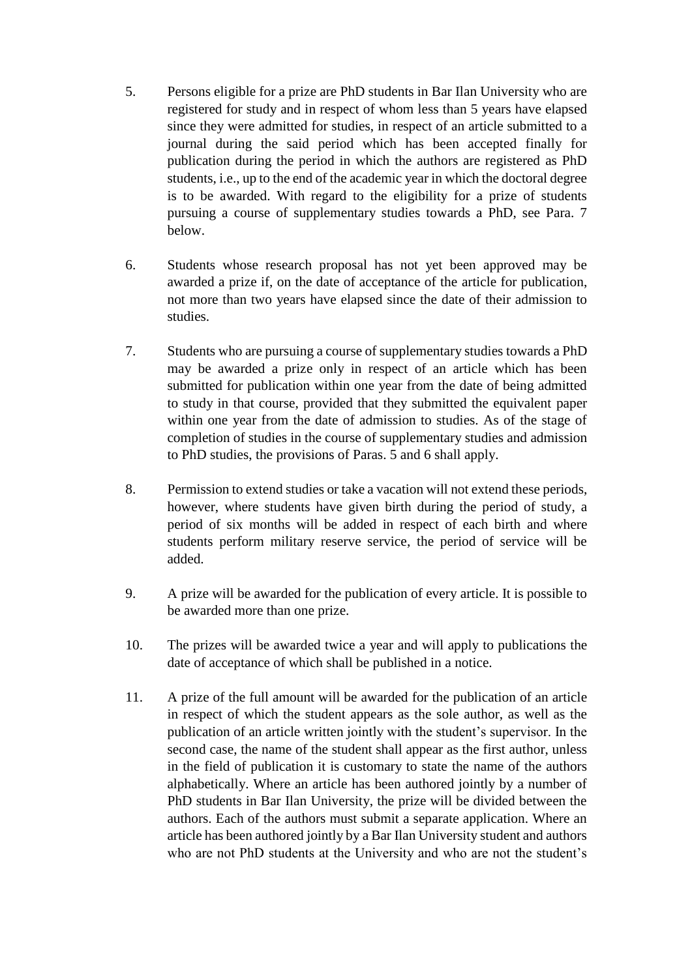- 5. Persons eligible for a prize are PhD students in Bar Ilan University who are registered for study and in respect of whom less than 5 years have elapsed since they were admitted for studies, in respect of an article submitted to a journal during the said period which has been accepted finally for publication during the period in which the authors are registered as PhD students, i.e., up to the end of the academic year in which the doctoral degree is to be awarded. With regard to the eligibility for a prize of students pursuing a course of supplementary studies towards a PhD, see Para. 7 below.
- 6. Students whose research proposal has not yet been approved may be awarded a prize if, on the date of acceptance of the article for publication, not more than two years have elapsed since the date of their admission to studies.
- 7. Students who are pursuing a course of supplementary studies towards a PhD may be awarded a prize only in respect of an article which has been submitted for publication within one year from the date of being admitted to study in that course, provided that they submitted the equivalent paper within one year from the date of admission to studies. As of the stage of completion of studies in the course of supplementary studies and admission to PhD studies, the provisions of Paras. 5 and 6 shall apply.
- 8. Permission to extend studies or take a vacation will not extend these periods, however, where students have given birth during the period of study, a period of six months will be added in respect of each birth and where students perform military reserve service, the period of service will be added.
- 9. A prize will be awarded for the publication of every article. It is possible to be awarded more than one prize.
- 10. The prizes will be awarded twice a year and will apply to publications the date of acceptance of which shall be published in a notice.
- 11. A prize of the full amount will be awarded for the publication of an article in respect of which the student appears as the sole author, as well as the publication of an article written jointly with the student's supervisor. In the second case, the name of the student shall appear as the first author, unless in the field of publication it is customary to state the name of the authors alphabetically. Where an article has been authored jointly by a number of PhD students in Bar Ilan University, the prize will be divided between the authors. Each of the authors must submit a separate application. Where an article has been authored jointly by a Bar Ilan University student and authors who are not PhD students at the University and who are not the student's